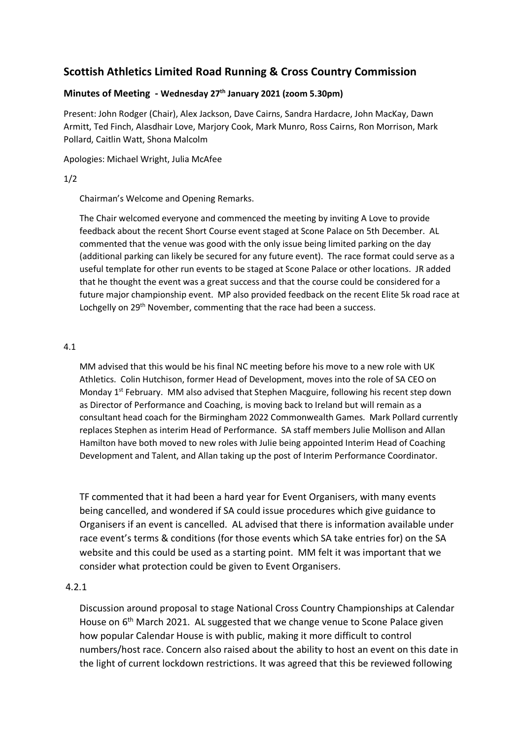# **Scottish Athletics Limited Road Running & Cross Country Commission**

#### **Minutes of Meeting - Wednesday 27th January 2021 (zoom 5.30pm)**

Present: John Rodger (Chair), Alex Jackson, Dave Cairns, Sandra Hardacre, John MacKay, Dawn Armitt, Ted Finch, Alasdhair Love, Marjory Cook, Mark Munro, Ross Cairns, Ron Morrison, Mark Pollard, Caitlin Watt, Shona Malcolm

Apologies: Michael Wright, Julia McAfee

### 1/2

Chairman's Welcome and Opening Remarks.

The Chair welcomed everyone and commenced the meeting by inviting A Love to provide feedback about the recent Short Course event staged at Scone Palace on 5th December. AL commented that the venue was good with the only issue being limited parking on the day (additional parking can likely be secured for any future event). The race format could serve as a useful template for other run events to be staged at Scone Palace or other locations. JR added that he thought the event was a great success and that the course could be considered for a future major championship event. MP also provided feedback on the recent Elite 5k road race at Lochgelly on 29<sup>th</sup> November, commenting that the race had been a success.

#### 4.1

MM advised that this would be his final NC meeting before his move to a new role with UK Athletics. Colin Hutchison, former Head of Development, moves into the role of SA CEO on Monday  $1^{st}$  February. MM also advised that Stephen Macguire, following his recent step down as Director of Performance and Coaching, is moving back to Ireland but will remain as a consultant head coach for the Birmingham 2022 Commonwealth Games. Mark Pollard currently replaces Stephen as interim Head of Performance. SA staff members Julie Mollison and Allan Hamilton have both moved to new roles with Julie being appointed Interim Head of Coaching Development and Talent, and Allan taking up the post of Interim Performance Coordinator.

TF commented that it had been a hard year for Event Organisers, with many events being cancelled, and wondered if SA could issue procedures which give guidance to Organisers if an event is cancelled. AL advised that there is information available under race event's terms & conditions (for those events which SA take entries for) on the SA website and this could be used as a starting point. MM felt it was important that we consider what protection could be given to Event Organisers.

### 4.2.1

Discussion around proposal to stage National Cross Country Championships at Calendar House on 6<sup>th</sup> March 2021. AL suggested that we change venue to Scone Palace given how popular Calendar House is with public, making it more difficult to control numbers/host race. Concern also raised about the ability to host an event on this date in the light of current lockdown restrictions. It was agreed that this be reviewed following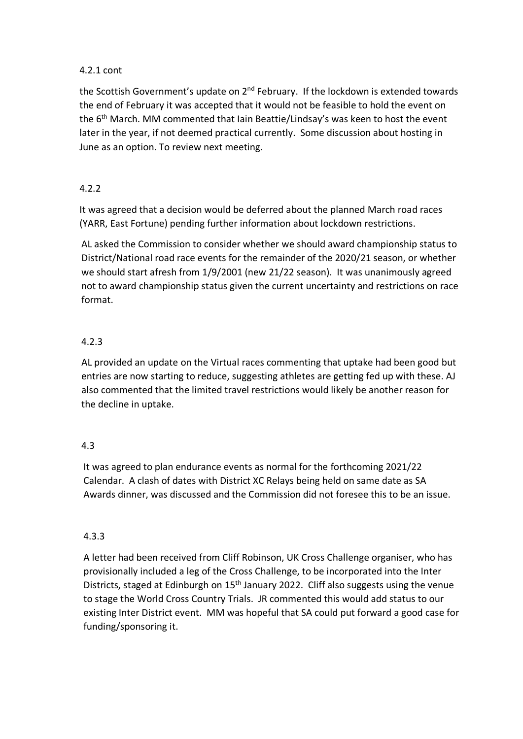### 4.2.1 cont

the Scottish Government's update on 2<sup>nd</sup> February. If the lockdown is extended towards the end of February it was accepted that it would not be feasible to hold the event on the  $6<sup>th</sup>$  March. MM commented that Iain Beattie/Lindsay's was keen to host the event later in the year, if not deemed practical currently. Some discussion about hosting in June as an option. To review next meeting.

## 4.2.2

It was agreed that a decision would be deferred about the planned March road races (YARR, East Fortune) pending further information about lockdown restrictions.

AL asked the Commission to consider whether we should award championship status to District/National road race events for the remainder of the 2020/21 season, or whether we should start afresh from 1/9/2001 (new 21/22 season). It was unanimously agreed not to award championship status given the current uncertainty and restrictions on race format.

# 4.2.3

AL provided an update on the Virtual races commenting that uptake had been good but entries are now starting to reduce, suggesting athletes are getting fed up with these. AJ also commented that the limited travel restrictions would likely be another reason for the decline in uptake.

## 4.3

It was agreed to plan endurance events as normal for the forthcoming 2021/22 Calendar. A clash of dates with District XC Relays being held on same date as SA Awards dinner, was discussed and the Commission did not foresee this to be an issue.

## 4.3.3

A letter had been received from Cliff Robinson, UK Cross Challenge organiser, who has provisionally included a leg of the Cross Challenge, to be incorporated into the Inter Districts, staged at Edinburgh on 15<sup>th</sup> January 2022. Cliff also suggests using the venue to stage the World Cross Country Trials. JR commented this would add status to our existing Inter District event. MM was hopeful that SA could put forward a good case for funding/sponsoring it.